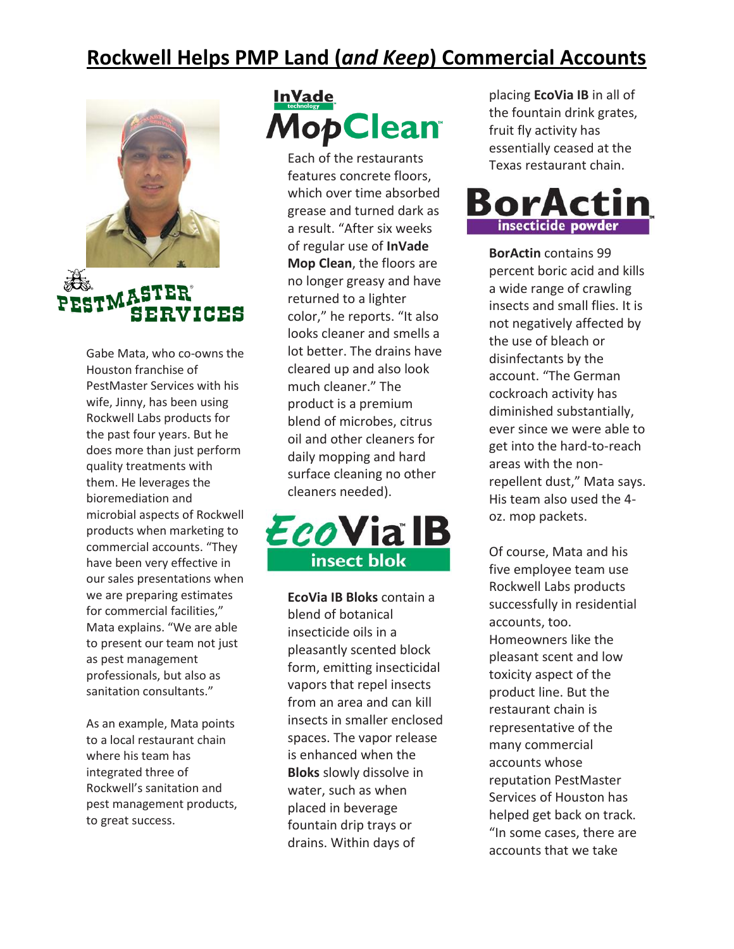## **Rockwell Helps PMP Land (***and Keep***) Commercial Accounts**



Gabe Mata, who co-owns the Houston franchise of PestMaster Services with his wife, Jinny, has been using Rockwell Labs products for the past four years. But he does more than just perform quality treatments with them. He leverages the bioremediation and microbial aspects of Rockwell products when marketing to commercial accounts. "They have been very effective in our sales presentations when we are preparing estimates for commercial facilities," Mata explains. "We are able to present our team not just as pest management professionals, but also as sanitation consultants."

SERVICES

As an example, Mata points to a local restaurant chain where his team has integrated three of Rockwell's sanitation and pest management products, to great success.

## **InVade MopClean**

Each of the restaurants features concrete floors, which over time absorbed grease and turned dark as a result. "After six weeks of regular use of **InVade Mop Clean**, the floors are no longer greasy and have returned to a lighter color," he reports. "It also looks cleaner and smells a lot better. The drains have cleared up and also look much cleaner." The product is a premium blend of microbes, citrus oil and other cleaners for daily mopping and hard surface cleaning no other cleaners needed).



**EcoVia IB Bloks** contain a blend of botanical insecticide oils in a pleasantly scented block form, emitting insecticidal vapors that repel insects from an area and can kill insects in smaller enclosed spaces. The vapor release is enhanced when the **Bloks** slowly dissolve in water, such as when placed in beverage fountain drip trays or drains. Within days of

placing **EcoVia IB** in all of the fountain drink grates, fruit fly activity has essentially ceased at the Texas restaurant chain.



**BorActin** contains 99 percent boric acid and kills a wide range of crawling insects and small flies. It is not negatively affected by the use of bleach or disinfectants by the account. "The German cockroach activity has diminished substantially, ever since we were able to get into the hard-to-reach areas with the nonrepellent dust," Mata says. His team also used the 4 oz. mop packets.

Of course, Mata and his five employee team use Rockwell Labs products successfully in residential accounts, too. Homeowners like the pleasant scent and low toxicity aspect of the product line. But the restaurant chain is representative of the many commercial accounts whose reputation PestMaster Services of Houston has helped get back on track. "In some cases, there are accounts that we take